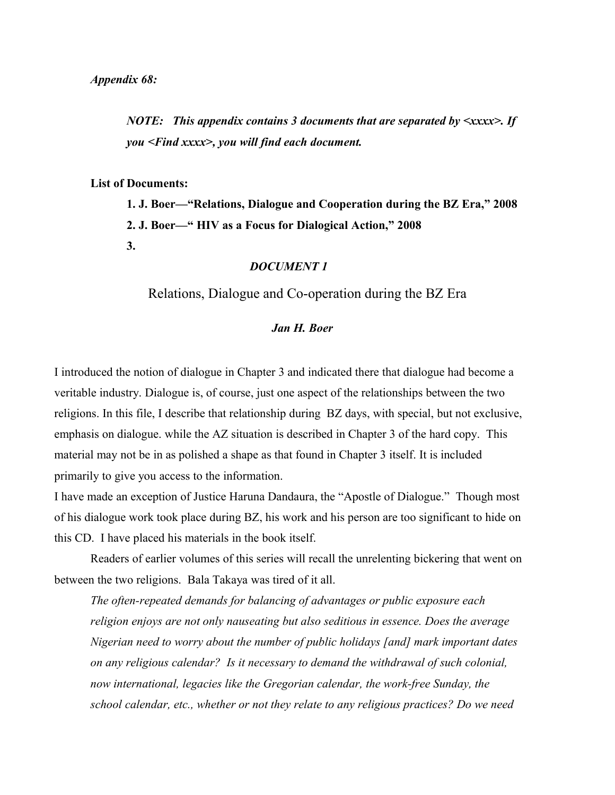*NOTE: This appendix contains 3 documents that are separated by <xxxx>. If you <Find xxxx>, you will find each document.*

#### **List of Documents:**

**1. J. Boer—"Relations, Dialogue and Cooperation during the BZ Era," 2008 2. J. Boer—" HIV as a Focus for Dialogical Action," 2008 3.**

# *DOCUMENT 1*

Relations, Dialogue and Co-operation during the BZ Era

# *Jan H. Boer*

I introduced the notion of dialogue in Chapter 3 and indicated there that dialogue had become a veritable industry. Dialogue is, of course, just one aspect of the relationships between the two religions. In this file, I describe that relationship during BZ days, with special, but not exclusive, emphasis on dialogue. while the AZ situation is described in Chapter 3 of the hard copy. This material may not be in as polished a shape as that found in Chapter 3 itself. It is included primarily to give you access to the information.

I have made an exception of Justice Haruna Dandaura, the "Apostle of Dialogue." Though most of his dialogue work took place during BZ, his work and his person are too significant to hide on this CD. I have placed his materials in the book itself.

Readers of earlier volumes of this series will recall the unrelenting bickering that went on between the two religions. Bala Takaya was tired of it all.

*The often-repeated demands for balancing of advantages or public exposure each religion enjoys are not only nauseating but also seditious in essence. Does the average Nigerian need to worry about the number of public holidays [and] mark important dates on any religious calendar? Is it necessary to demand the withdrawal of such colonial,*  now international, legacies like the Gregorian calendar, the work-free Sunday, the *school calendar, etc., whether or not they relate to any religious practices? Do we need*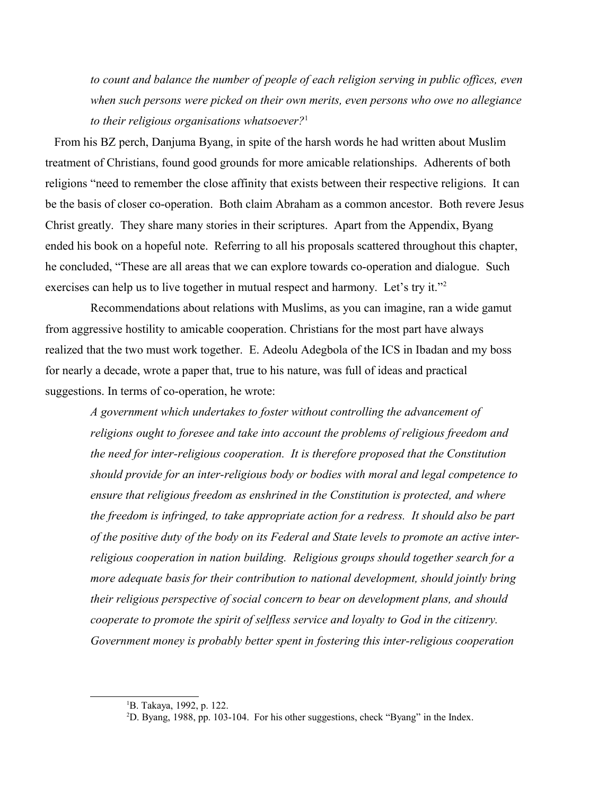*to count and balance the number of people of each religion serving in public offices, even when such persons were picked on their own merits, even persons who owe no allegiance to their religious organisations whatsoever?*[1](#page-1-0)

From his BZ perch, Danjuma Byang, in spite of the harsh words he had written about Muslim treatment of Christians, found good grounds for more amicable relationships. Adherents of both religions "need to remember the close affinity that exists between their respective religions. It can be the basis of closer co-operation. Both claim Abraham as a common ancestor. Both revere Jesus Christ greatly. They share many stories in their scriptures. Apart from the Appendix, Byang ended his book on a hopeful note. Referring to all his proposals scattered throughout this chapter, he concluded, "These are all areas that we can explore towards co-operation and dialogue. Such exercises can help us to live together in mutual respect and harmony. Let's try it."<sup>[2](#page-1-1)</sup>

Recommendations about relations with Muslims, as you can imagine, ran a wide gamut from aggressive hostility to amicable cooperation. Christians for the most part have always realized that the two must work together. E. Adeolu Adegbola of the ICS in Ibadan and my boss for nearly a decade, wrote a paper that, true to his nature, was full of ideas and practical suggestions. In terms of co-operation, he wrote:

*A government which undertakes to foster without controlling the advancement of religions ought to foresee and take into account the problems of religious freedom and the need for inter-religious cooperation. It is therefore proposed that the Constitution should provide for an inter-religious body or bodies with moral and legal competence to ensure that religious freedom as enshrined in the Constitution is protected, and where the freedom is infringed, to take appropriate action for a redress. It should also be part of the positive duty of the body on its Federal and State levels to promote an active interreligious cooperation in nation building. Religious groups should together search for a more adequate basis for their contribution to national development, should jointly bring their religious perspective of social concern to bear on development plans, and should cooperate to promote the spirit of selfless service and loyalty to God in the citizenry. Government money is probably better spent in fostering this inter-religious cooperation* 

<span id="page-1-0"></span><sup>1</sup>B. Takaya, 1992, p. 122.

<span id="page-1-1"></span><sup>2</sup>D. Byang, 1988, pp. 103-104. For his other suggestions, check "Byang" in the Index.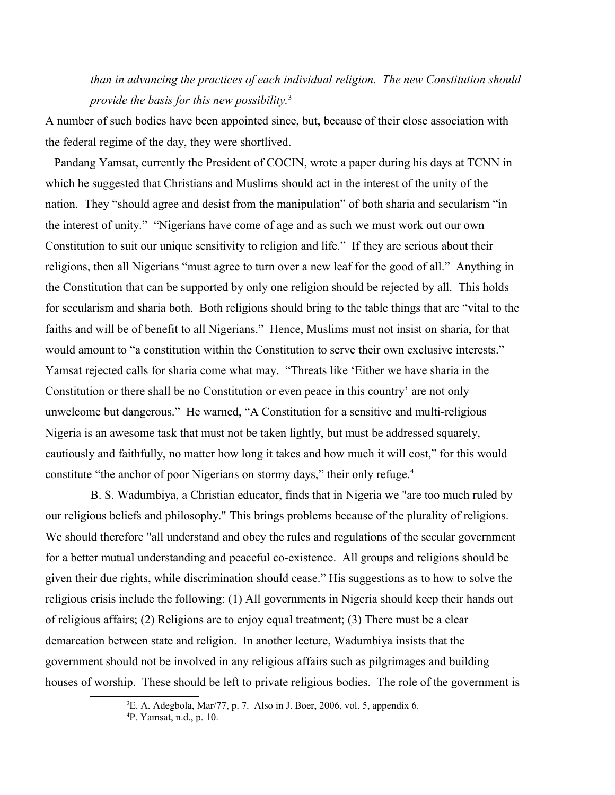# *than in advancing the practices of each individual religion. The new Constitution should provide the basis for this new possibility.*[3](#page-2-0)

A number of such bodies have been appointed since, but, because of their close association with the federal regime of the day, they were shortlived.

Pandang Yamsat, currently the President of COCIN, wrote a paper during his days at TCNN in which he suggested that Christians and Muslims should act in the interest of the unity of the nation. They "should agree and desist from the manipulation" of both sharia and secularism "in the interest of unity." "Nigerians have come of age and as such we must work out our own Constitution to suit our unique sensitivity to religion and life." If they are serious about their religions, then all Nigerians "must agree to turn over a new leaf for the good of all." Anything in the Constitution that can be supported by only one religion should be rejected by all. This holds for secularism and sharia both. Both religions should bring to the table things that are "vital to the faiths and will be of benefit to all Nigerians." Hence, Muslims must not insist on sharia, for that would amount to "a constitution within the Constitution to serve their own exclusive interests." Yamsat rejected calls for sharia come what may. "Threats like 'Either we have sharia in the Constitution or there shall be no Constitution or even peace in this country' are not only unwelcome but dangerous." He warned, "A Constitution for a sensitive and multi-religious Nigeria is an awesome task that must not be taken lightly, but must be addressed squarely, cautiously and faithfully, no matter how long it takes and how much it will cost," for this would constitute "the anchor of poor Nigerians on stormy days," their only refuge.<sup>[4](#page-2-1)</sup>

B. S. Wadumbiya, a Christian educator, finds that in Nigeria we "are too much ruled by our religious beliefs and philosophy." This brings problems because of the plurality of religions. We should therefore "all understand and obey the rules and regulations of the secular government for a better mutual understanding and peaceful co-existence. All groups and religions should be given their due rights, while discrimination should cease." His suggestions as to how to solve the religious crisis include the following: (1) All governments in Nigeria should keep their hands out of religious affairs; (2) Religions are to enjoy equal treatment; (3) There must be a clear demarcation between state and religion. In another lecture, Wadumbiya insists that the government should not be involved in any religious affairs such as pilgrimages and building houses of worship. These should be left to private religious bodies. The role of the government is

<span id="page-2-0"></span><sup>3</sup>E. A. Adegbola, Mar/77, p. 7. Also in J. Boer, 2006, vol. 5, appendix 6.

<span id="page-2-1"></span><sup>4</sup>P. Yamsat, n.d., p. 10.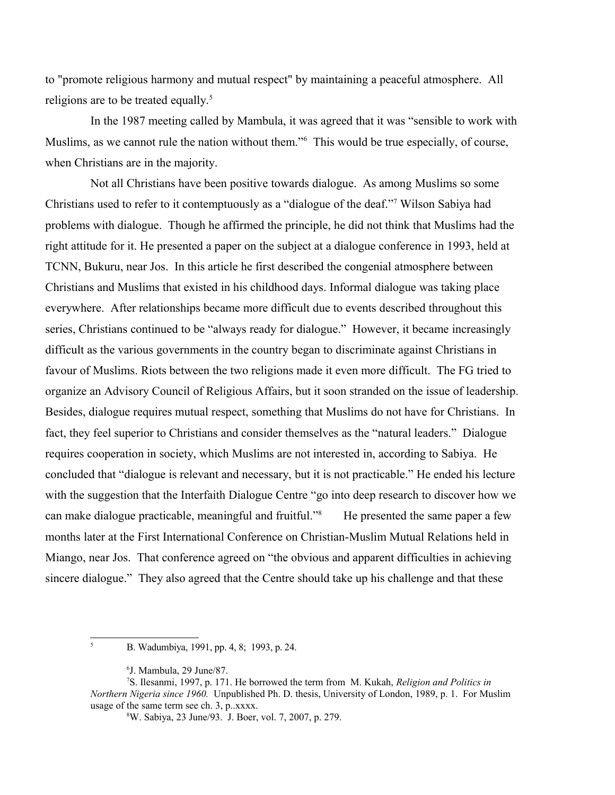to "promote religious harmony and mutual respect" by maintaining a peaceful atmosphere. All religions are to be treated equally.<sup>[5](#page-3-0)</sup>

In the 1987 meeting called by Mambula, it was agreed that it was "sensible to work with Muslims, as we cannot rule the nation without them."[6](#page-3-1) This would be true especially, of course, when Christians are in the majority.

Not all Christians have been positive towards dialogue. As among Muslims so some Christians used to refer to it contemptuously as a "dialogue of the deaf."[7](#page-3-2) Wilson Sabiya had problems with dialogue. Though he affirmed the principle, he did not think that Muslims had the right attitude for it. He presented a paper on the subject at a dialogue conference in 1993, held at TCNN, Bukuru, near Jos. In this article he first described the congenial atmosphere between Christians and Muslims that existed in his childhood days. Informal dialogue was taking place everywhere. After relationships became more difficult due to events described throughout this series, Christians continued to be "always ready for dialogue." However, it became increasingly difficult as the various governments in the country began to discriminate against Christians in favour of Muslims. Riots between the two religions made it even more difficult. The FG tried to organize an Advisory Council of Religious Affairs, but it soon stranded on the issue of leadership. Besides, dialogue requires mutual respect, something that Muslims do not have for Christians. In fact, they feel superior to Christians and consider themselves as the "natural leaders." Dialogue requires cooperation in society, which Muslims are not interested in, according to Sabiya. He concluded that "dialogue is relevant and necessary, but it is not practicable." He ended his lecture with the suggestion that the Interfaith Dialogue Centre "go into deep research to discover how we can make dialogue practicable, meaningful and fruitful."<sup>[8](#page-3-3)</sup> He presented the same paper a few months later at the First International Conference on Christian-Muslim Mutual Relations held in Miango, near Jos. That conference agreed on "the obvious and apparent difficulties in achieving sincere dialogue." They also agreed that the Centre should take up his challenge and that these

<span id="page-3-0"></span><sup>5</sup> B. Wadumbiya, 1991, pp. 4, 8; 1993, p. 24.

<span id="page-3-2"></span><span id="page-3-1"></span><sup>6</sup> J. Mambula, 29 June/87.

<sup>7</sup>S. Ilesanmi, 1997, p. 171. He borrowed the term from M. Kukah, *Religion and Politics in Northern Nigeria since 1960.* Unpublished Ph. D. thesis, University of London, 1989, p. 1. For Muslim usage of the same term see ch. 3, p..xxxx.

<span id="page-3-3"></span><sup>8</sup>W. Sabiya, 23 June/93. J. Boer, vol. 7, 2007, p. 279.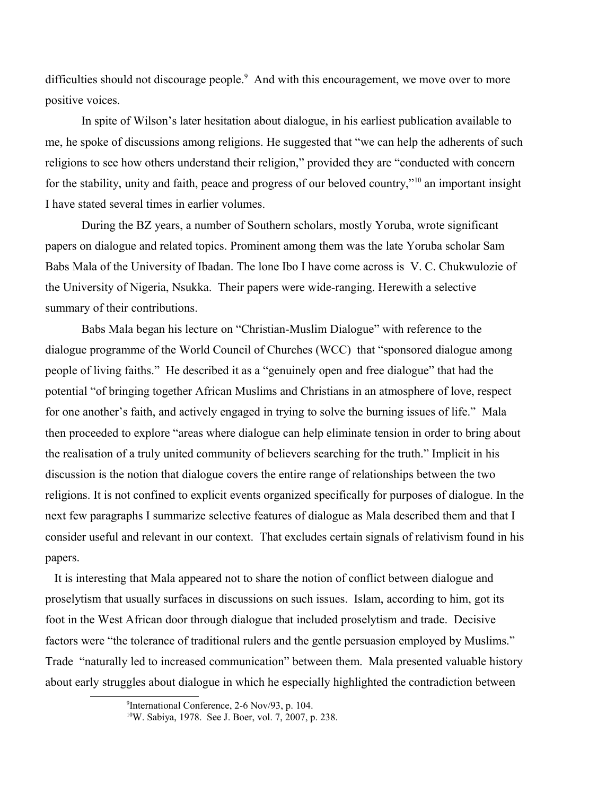difficulties should not discourage people.<sup>[9](#page-4-0)</sup> And with this encouragement, we move over to more positive voices.

In spite of Wilson's later hesitation about dialogue, in his earliest publication available to me, he spoke of discussions among religions. He suggested that "we can help the adherents of such religions to see how others understand their religion," provided they are "conducted with concern for the stability, unity and faith, peace and progress of our beloved country,"[10](#page-4-1) an important insight I have stated several times in earlier volumes.

During the BZ years, a number of Southern scholars, mostly Yoruba, wrote significant papers on dialogue and related topics. Prominent among them was the late Yoruba scholar Sam Babs Mala of the University of Ibadan. The lone Ibo I have come across is V. C. Chukwulozie of the University of Nigeria, Nsukka. Their papers were wide-ranging. Herewith a selective summary of their contributions.

Babs Mala began his lecture on "Christian-Muslim Dialogue" with reference to the dialogue programme of the World Council of Churches (WCC) that "sponsored dialogue among people of living faiths." He described it as a "genuinely open and free dialogue" that had the potential "of bringing together African Muslims and Christians in an atmosphere of love, respect for one another's faith, and actively engaged in trying to solve the burning issues of life." Mala then proceeded to explore "areas where dialogue can help eliminate tension in order to bring about the realisation of a truly united community of believers searching for the truth." Implicit in his discussion is the notion that dialogue covers the entire range of relationships between the two religions. It is not confined to explicit events organized specifically for purposes of dialogue. In the next few paragraphs I summarize selective features of dialogue as Mala described them and that I consider useful and relevant in our context. That excludes certain signals of relativism found in his papers.

It is interesting that Mala appeared not to share the notion of conflict between dialogue and proselytism that usually surfaces in discussions on such issues. Islam, according to him, got its foot in the West African door through dialogue that included proselytism and trade. Decisive factors were "the tolerance of traditional rulers and the gentle persuasion employed by Muslims." Trade "naturally led to increased communication" between them. Mala presented valuable history about early struggles about dialogue in which he especially highlighted the contradiction between

<span id="page-4-0"></span><sup>9</sup> International Conference, 2-6 Nov/93, p. 104.

<span id="page-4-1"></span><sup>10</sup>W. Sabiya, 1978. See J. Boer, vol. 7, 2007, p. 238.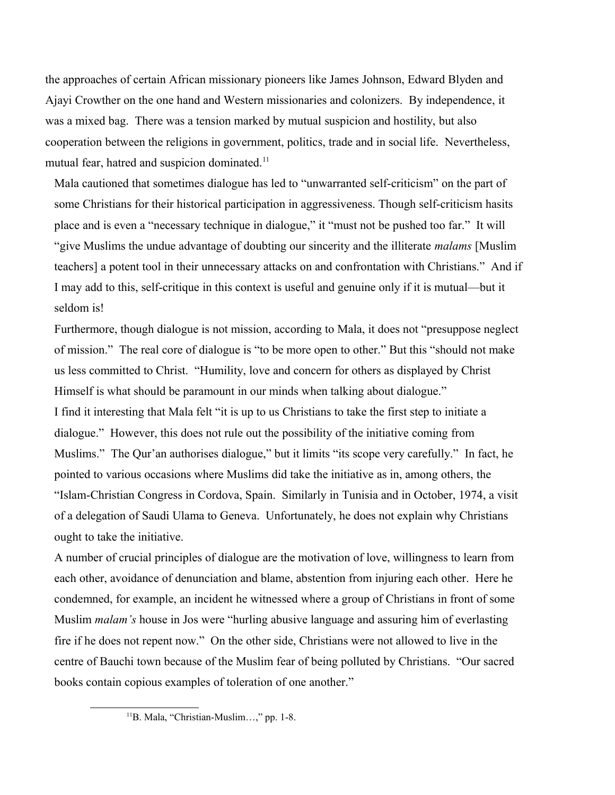the approaches of certain African missionary pioneers like James Johnson, Edward Blyden and Ajayi Crowther on the one hand and Western missionaries and colonizers. By independence, it was a mixed bag. There was a tension marked by mutual suspicion and hostility, but also cooperation between the religions in government, politics, trade and in social life. Nevertheless, mutual fear, hatred and suspicion dominated.<sup>[11](#page-5-0)</sup>

Mala cautioned that sometimes dialogue has led to "unwarranted self-criticism" on the part of some Christians for their historical participation in aggressiveness. Though self-criticism hasits place and is even a "necessary technique in dialogue," it "must not be pushed too far." It will "give Muslims the undue advantage of doubting our sincerity and the illiterate *malams* [Muslim teachers] a potent tool in their unnecessary attacks on and confrontation with Christians." And if I may add to this, self-critique in this context is useful and genuine only if it is mutual—but it seldom is!

Furthermore, though dialogue is not mission, according to Mala, it does not "presuppose neglect of mission." The real core of dialogue is "to be more open to other." But this "should not make us less committed to Christ. "Humility, love and concern for others as displayed by Christ Himself is what should be paramount in our minds when talking about dialogue." I find it interesting that Mala felt "it is up to us Christians to take the first step to initiate a dialogue." However, this does not rule out the possibility of the initiative coming from Muslims." The Qur'an authorises dialogue," but it limits "its scope very carefully." In fact, he pointed to various occasions where Muslims did take the initiative as in, among others, the "Islam-Christian Congress in Cordova, Spain. Similarly in Tunisia and in October, 1974, a visit of a delegation of Saudi Ulama to Geneva. Unfortunately, he does not explain why Christians ought to take the initiative.

A number of crucial principles of dialogue are the motivation of love, willingness to learn from each other, avoidance of denunciation and blame, abstention from injuring each other. Here he condemned, for example, an incident he witnessed where a group of Christians in front of some Muslim *malam's* house in Jos were "hurling abusive language and assuring him of everlasting fire if he does not repent now." On the other side, Christians were not allowed to live in the centre of Bauchi town because of the Muslim fear of being polluted by Christians. "Our sacred books contain copious examples of toleration of one another."

<span id="page-5-0"></span><sup>&</sup>lt;sup>11</sup>B. Mala, "Christian-Muslim...," pp. 1-8.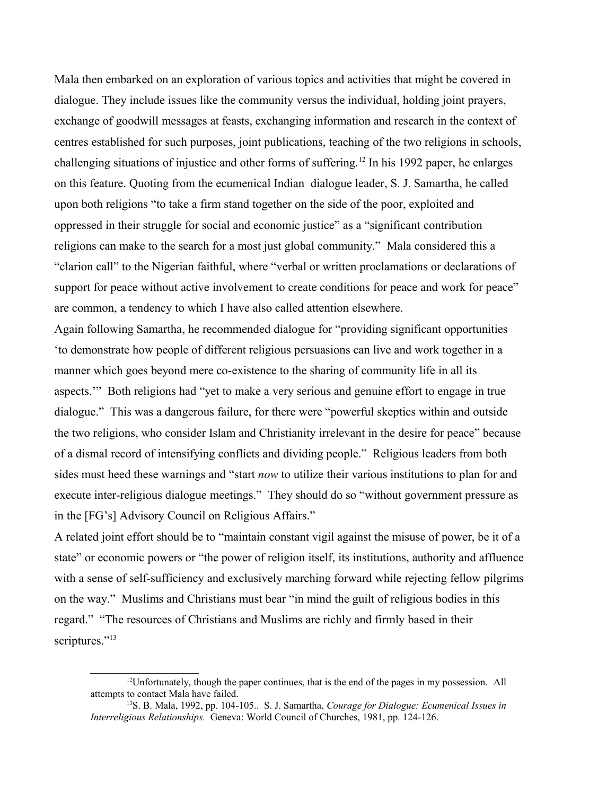Mala then embarked on an exploration of various topics and activities that might be covered in dialogue. They include issues like the community versus the individual, holding joint prayers, exchange of goodwill messages at feasts, exchanging information and research in the context of centres established for such purposes, joint publications, teaching of the two religions in schools, challenging situations of injustice and other forms of suffering.[12](#page-6-0) In his 1992 paper, he enlarges on this feature. Quoting from the ecumenical Indian dialogue leader, S. J. Samartha, he called upon both religions "to take a firm stand together on the side of the poor, exploited and oppressed in their struggle for social and economic justice" as a "significant contribution religions can make to the search for a most just global community." Mala considered this a "clarion call" to the Nigerian faithful, where "verbal or written proclamations or declarations of support for peace without active involvement to create conditions for peace and work for peace" are common, a tendency to which I have also called attention elsewhere.

Again following Samartha, he recommended dialogue for "providing significant opportunities 'to demonstrate how people of different religious persuasions can live and work together in a manner which goes beyond mere co-existence to the sharing of community life in all its aspects.'" Both religions had "yet to make a very serious and genuine effort to engage in true dialogue." This was a dangerous failure, for there were "powerful skeptics within and outside the two religions, who consider Islam and Christianity irrelevant in the desire for peace" because of a dismal record of intensifying conflicts and dividing people." Religious leaders from both sides must heed these warnings and "start *now* to utilize their various institutions to plan for and execute inter-religious dialogue meetings." They should do so "without government pressure as in the [FG's] Advisory Council on Religious Affairs."

A related joint effort should be to "maintain constant vigil against the misuse of power, be it of a state" or economic powers or "the power of religion itself, its institutions, authority and affluence with a sense of self-sufficiency and exclusively marching forward while rejecting fellow pilgrims on the way." Muslims and Christians must bear "in mind the guilt of religious bodies in this regard." "The resources of Christians and Muslims are richly and firmly based in their scriptures."<sup>[13](#page-6-1)</sup>

<span id="page-6-0"></span><sup>&</sup>lt;sup>12</sup>Unfortunately, though the paper continues, that is the end of the pages in my possession. All attempts to contact Mala have failed.

<span id="page-6-1"></span><sup>13</sup>S. B. Mala, 1992, pp. 104-105.. S. J. Samartha, *Courage for Dialogue: Ecumenical Issues in Interreligious Relationships.* Geneva: World Council of Churches, 1981, pp. 124-126.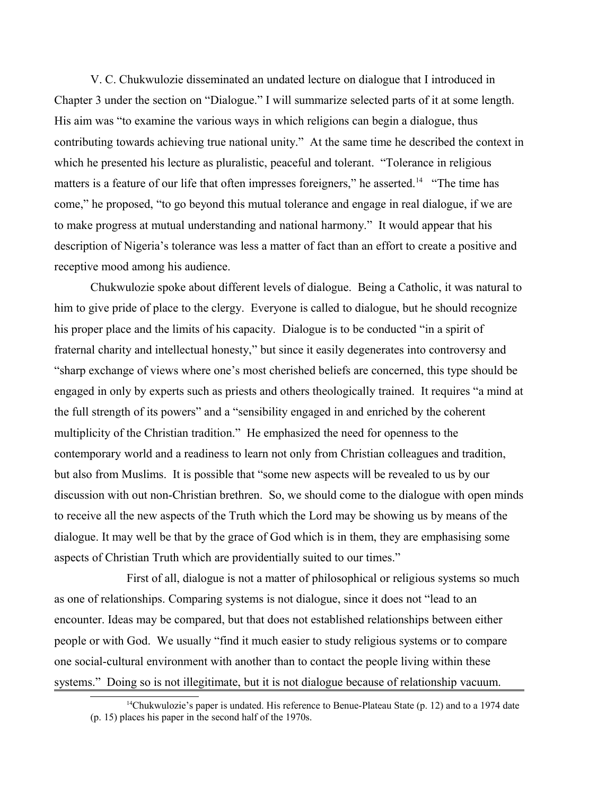V. C. Chukwulozie disseminated an undated lecture on dialogue that I introduced in Chapter 3 under the section on "Dialogue." I will summarize selected parts of it at some length. His aim was "to examine the various ways in which religions can begin a dialogue, thus contributing towards achieving true national unity." At the same time he described the context in which he presented his lecture as pluralistic, peaceful and tolerant. "Tolerance in religious matters is a feature of our life that often impresses foreigners," he asserted.<sup>[14](#page-7-0)</sup> "The time has come," he proposed, "to go beyond this mutual tolerance and engage in real dialogue, if we are to make progress at mutual understanding and national harmony." It would appear that his description of Nigeria's tolerance was less a matter of fact than an effort to create a positive and receptive mood among his audience.

Chukwulozie spoke about different levels of dialogue. Being a Catholic, it was natural to him to give pride of place to the clergy. Everyone is called to dialogue, but he should recognize his proper place and the limits of his capacity. Dialogue is to be conducted "in a spirit of fraternal charity and intellectual honesty," but since it easily degenerates into controversy and "sharp exchange of views where one's most cherished beliefs are concerned, this type should be engaged in only by experts such as priests and others theologically trained. It requires "a mind at the full strength of its powers" and a "sensibility engaged in and enriched by the coherent multiplicity of the Christian tradition." He emphasized the need for openness to the contemporary world and a readiness to learn not only from Christian colleagues and tradition, but also from Muslims. It is possible that "some new aspects will be revealed to us by our discussion with out non-Christian brethren. So, we should come to the dialogue with open minds to receive all the new aspects of the Truth which the Lord may be showing us by means of the dialogue. It may well be that by the grace of God which is in them, they are emphasising some aspects of Christian Truth which are providentially suited to our times."

First of all, dialogue is not a matter of philosophical or religious systems so much as one of relationships. Comparing systems is not dialogue, since it does not "lead to an encounter. Ideas may be compared, but that does not established relationships between either people or with God. We usually "find it much easier to study religious systems or to compare one social-cultural environment with another than to contact the people living within these systems." Doing so is not illegitimate, but it is not dialogue because of relationship vacuum.

<span id="page-7-0"></span> $14$ Chukwulozie's paper is undated. His reference to Benue-Plateau State (p. 12) and to a 1974 date (p. 15) places his paper in the second half of the 1970s.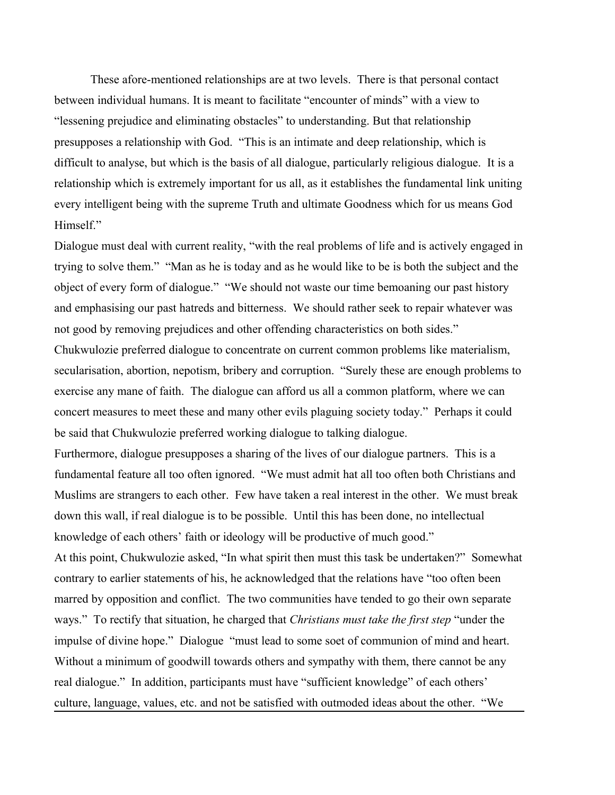These afore-mentioned relationships are at two levels. There is that personal contact between individual humans. It is meant to facilitate "encounter of minds" with a view to "lessening prejudice and eliminating obstacles" to understanding. But that relationship presupposes a relationship with God. "This is an intimate and deep relationship, which is difficult to analyse, but which is the basis of all dialogue, particularly religious dialogue. It is a relationship which is extremely important for us all, as it establishes the fundamental link uniting every intelligent being with the supreme Truth and ultimate Goodness which for us means God Himself."

Dialogue must deal with current reality, "with the real problems of life and is actively engaged in trying to solve them." "Man as he is today and as he would like to be is both the subject and the object of every form of dialogue." "We should not waste our time bemoaning our past history and emphasising our past hatreds and bitterness. We should rather seek to repair whatever was not good by removing prejudices and other offending characteristics on both sides."

Chukwulozie preferred dialogue to concentrate on current common problems like materialism, secularisation, abortion, nepotism, bribery and corruption. "Surely these are enough problems to exercise any mane of faith. The dialogue can afford us all a common platform, where we can concert measures to meet these and many other evils plaguing society today." Perhaps it could be said that Chukwulozie preferred working dialogue to talking dialogue.

Furthermore, dialogue presupposes a sharing of the lives of our dialogue partners. This is a fundamental feature all too often ignored. "We must admit hat all too often both Christians and Muslims are strangers to each other. Few have taken a real interest in the other. We must break down this wall, if real dialogue is to be possible. Until this has been done, no intellectual knowledge of each others' faith or ideology will be productive of much good."

At this point, Chukwulozie asked, "In what spirit then must this task be undertaken?" Somewhat contrary to earlier statements of his, he acknowledged that the relations have "too often been marred by opposition and conflict. The two communities have tended to go their own separate ways." To rectify that situation, he charged that *Christians must take the first step* "under the impulse of divine hope." Dialogue "must lead to some soet of communion of mind and heart. Without a minimum of goodwill towards others and sympathy with them, there cannot be any real dialogue." In addition, participants must have "sufficient knowledge" of each others' culture, language, values, etc. and not be satisfied with outmoded ideas about the other. "We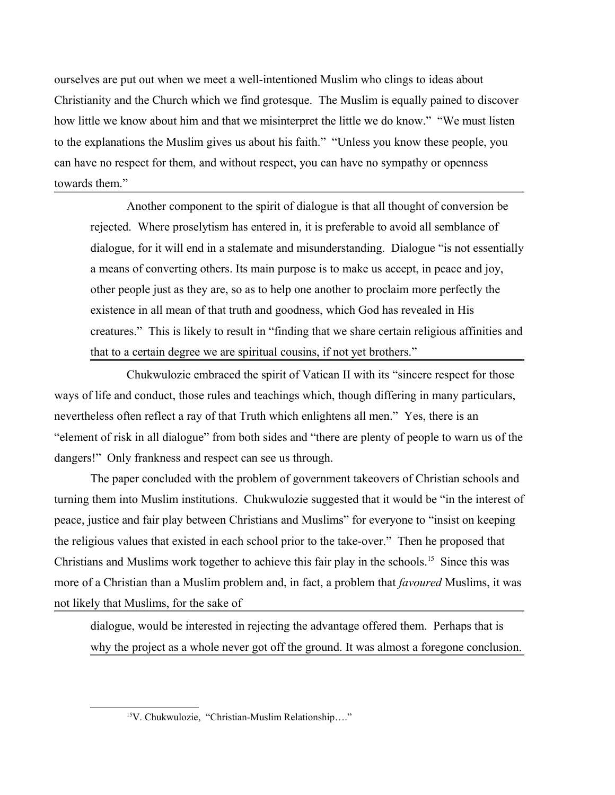ourselves are put out when we meet a well-intentioned Muslim who clings to ideas about Christianity and the Church which we find grotesque. The Muslim is equally pained to discover how little we know about him and that we misinterpret the little we do know." "We must listen to the explanations the Muslim gives us about his faith." "Unless you know these people, you can have no respect for them, and without respect, you can have no sympathy or openness towards them."

Another component to the spirit of dialogue is that all thought of conversion be rejected. Where proselytism has entered in, it is preferable to avoid all semblance of dialogue, for it will end in a stalemate and misunderstanding. Dialogue "is not essentially a means of converting others. Its main purpose is to make us accept, in peace and joy, other people just as they are, so as to help one another to proclaim more perfectly the existence in all mean of that truth and goodness, which God has revealed in His creatures." This is likely to result in "finding that we share certain religious affinities and that to a certain degree we are spiritual cousins, if not yet brothers."

Chukwulozie embraced the spirit of Vatican II with its "sincere respect for those ways of life and conduct, those rules and teachings which, though differing in many particulars, nevertheless often reflect a ray of that Truth which enlightens all men." Yes, there is an "element of risk in all dialogue" from both sides and "there are plenty of people to warn us of the dangers!" Only frankness and respect can see us through.

The paper concluded with the problem of government takeovers of Christian schools and turning them into Muslim institutions. Chukwulozie suggested that it would be "in the interest of peace, justice and fair play between Christians and Muslims" for everyone to "insist on keeping the religious values that existed in each school prior to the take-over." Then he proposed that Christians and Muslims work together to achieve this fair play in the schools.[15](#page-9-0) Since this was more of a Christian than a Muslim problem and, in fact, a problem that *favoured* Muslims, it was not likely that Muslims, for the sake of

dialogue, would be interested in rejecting the advantage offered them. Perhaps that is why the project as a whole never got off the ground. It was almost a foregone conclusion.

<span id="page-9-0"></span><sup>15</sup>V. Chukwulozie, "Christian-Muslim Relationship…."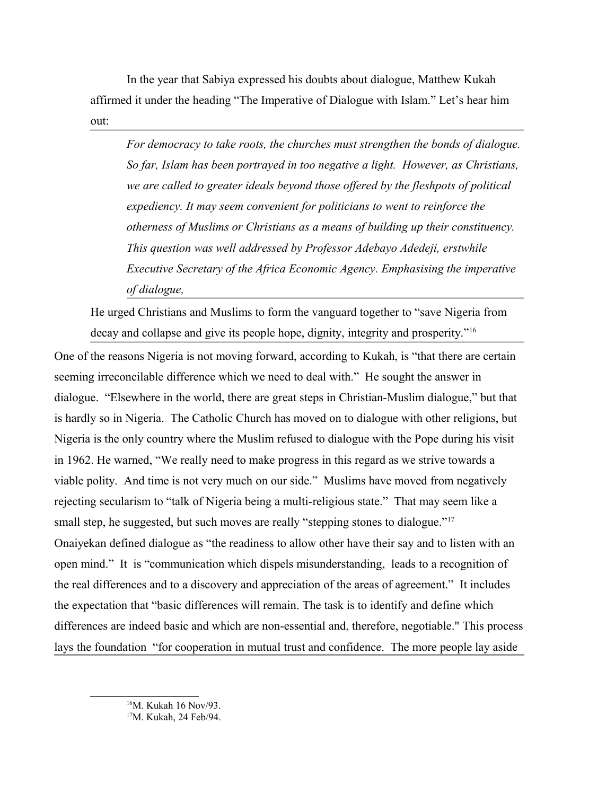In the year that Sabiya expressed his doubts about dialogue, Matthew Kukah affirmed it under the heading "The Imperative of Dialogue with Islam." Let's hear him out:

*For democracy to take roots, the churches must strengthen the bonds of dialogue. So far, Islam has been portrayed in too negative a light. However, as Christians,*  we are called to greater ideals beyond those offered by the fleshpots of political *expediency. It may seem convenient for politicians to went to reinforce the otherness of Muslims or Christians as a means of building up their constituency. This question was well addressed by Professor Adebayo Adedeji, erstwhile Executive Secretary of the Africa Economic Agency. Emphasising the imperative of dialogue,*

He urged Christians and Muslims to form the vanguard together to "save Nigeria from decay and collapse and give its people hope, dignity, integrity and prosperity."<sup>[16](#page-10-0)</sup>

<span id="page-10-1"></span><span id="page-10-0"></span>One of the reasons Nigeria is not moving forward, according to Kukah, is "that there are certain seeming irreconcilable difference which we need to deal with." He sought the answer in dialogue. "Elsewhere in the world, there are great steps in Christian-Muslim dialogue," but that is hardly so in Nigeria. The Catholic Church has moved on to dialogue with other religions, but Nigeria is the only country where the Muslim refused to dialogue with the Pope during his visit in 1962. He warned, "We really need to make progress in this regard as we strive towards a viable polity. And time is not very much on our side." Muslims have moved from negatively rejecting secularism to "talk of Nigeria being a multi-religious state." That may seem like a small step, he suggested, but such moves are really "stepping stones to dialogue."<sup>[17](#page-10-1)</sup> Onaiyekan defined dialogue as "the readiness to allow other have their say and to listen with an open mind." It is "communication which dispels misunderstanding, leads to a recognition of the real differences and to a discovery and appreciation of the areas of agreement." It includes the expectation that "basic differences will remain. The task is to identify and define which differences are indeed basic and which are non-essential and, therefore, negotiable." This process lays the foundation "for cooperation in mutual trust and confidence. The more people lay aside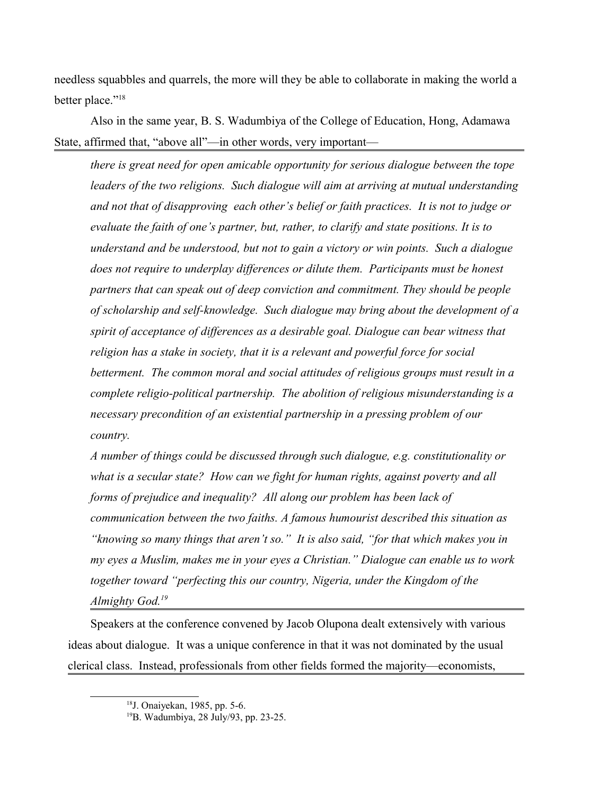needless squabbles and quarrels, the more will they be able to collaborate in making the world a better place."<sup>[18](#page-11-0)</sup>

Also in the same year, B. S. Wadumbiya of the College of Education, Hong, Adamawa State, affirmed that, "above all"—in other words, very important—

*there is great need for open amicable opportunity for serious dialogue between the tope leaders of the two religions. Such dialogue will aim at arriving at mutual understanding and not that of disapproving each other's belief or faith practices. It is not to judge or evaluate the faith of one's partner, but, rather, to clarify and state positions. It is to understand and be understood, but not to gain a victory or win points. Such a dialogue*  does not require to underplay differences or dilute them. Participants must be honest *partners that can speak out of deep conviction and commitment. They should be people of scholarship and self-knowledge. Such dialogue may bring about the development of a*  spirit of acceptance of differences as a desirable goal. Dialogue can bear witness that *religion has a stake in society, that it is a relevant and powerful force for social*  betterment. The common moral and social attitudes of religious groups must result in a *complete religio-political partnership. The abolition of religious misunderstanding is a necessary precondition of an existential partnership in a pressing problem of our country.* 

*A number of things could be discussed through such dialogue, e.g. constitutionality or what is a secular state? How can we fight for human rights, against poverty and all forms of prejudice and inequality? All along our problem has been lack of communication between the two faiths. A famous humourist described this situation as "knowing so many things that aren't so." It is also said, "for that which makes you in my eyes a Muslim, makes me in your eyes a Christian." Dialogue can enable us to work together toward "perfecting this our country, Nigeria, under the Kingdom of the Almighty God.[19](#page-11-1)*

Speakers at the conference convened by Jacob Olupona dealt extensively with various ideas about dialogue. It was a unique conference in that it was not dominated by the usual clerical class. Instead, professionals from other fields formed the majority—economists,

<span id="page-11-0"></span><sup>18</sup>J. Onaiyekan, 1985, pp. 5-6.

<span id="page-11-1"></span><sup>19</sup>B. Wadumbiya, 28 July/93, pp. 23-25.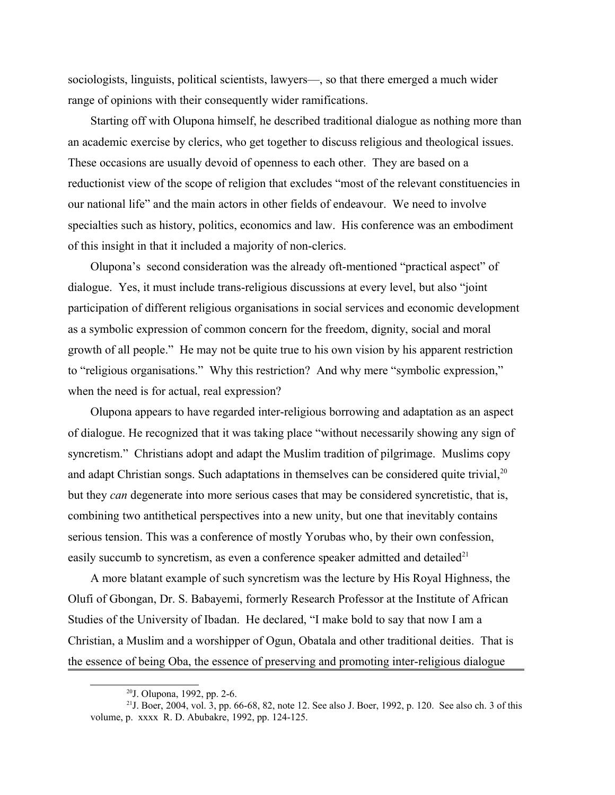sociologists, linguists, political scientists, lawyers—, so that there emerged a much wider range of opinions with their consequently wider ramifications.

Starting off with Olupona himself, he described traditional dialogue as nothing more than an academic exercise by clerics, who get together to discuss religious and theological issues. These occasions are usually devoid of openness to each other. They are based on a reductionist view of the scope of religion that excludes "most of the relevant constituencies in our national life" and the main actors in other fields of endeavour. We need to involve specialties such as history, politics, economics and law. His conference was an embodiment of this insight in that it included a majority of non-clerics.

Olupona's second consideration was the already oft-mentioned "practical aspect" of dialogue. Yes, it must include trans-religious discussions at every level, but also "joint participation of different religious organisations in social services and economic development as a symbolic expression of common concern for the freedom, dignity, social and moral growth of all people." He may not be quite true to his own vision by his apparent restriction to "religious organisations." Why this restriction? And why mere "symbolic expression," when the need is for actual, real expression?

Olupona appears to have regarded inter-religious borrowing and adaptation as an aspect of dialogue. He recognized that it was taking place "without necessarily showing any sign of syncretism." Christians adopt and adapt the Muslim tradition of pilgrimage. Muslims copy and adapt Christian songs. Such adaptations in themselves can be considered quite trivial, $^{20}$  $^{20}$  $^{20}$ but they *can* degenerate into more serious cases that may be considered syncretistic, that is, combining two antithetical perspectives into a new unity, but one that inevitably contains serious tension. This was a conference of mostly Yorubas who, by their own confession, easily succumb to syncretism, as even a conference speaker admitted and detailed $^{21}$  $^{21}$  $^{21}$ 

A more blatant example of such syncretism was the lecture by His Royal Highness, the Olufi of Gbongan, Dr. S. Babayemi, formerly Research Professor at the Institute of African Studies of the University of Ibadan. He declared, "I make bold to say that now I am a Christian, a Muslim and a worshipper of Ogun, Obatala and other traditional deities. That is the essence of being Oba, the essence of preserving and promoting inter-religious dialogue

<span id="page-12-1"></span><span id="page-12-0"></span> $2^{20}$ J. Olupona, 1992, pp. 2-6.

<sup>&</sup>lt;sup>21</sup>J. Boer, 2004, vol. 3, pp. 66-68, 82, note 12. See also J. Boer, 1992, p. 120. See also ch. 3 of this volume, p. xxxx R. D. Abubakre, 1992, pp. 124-125.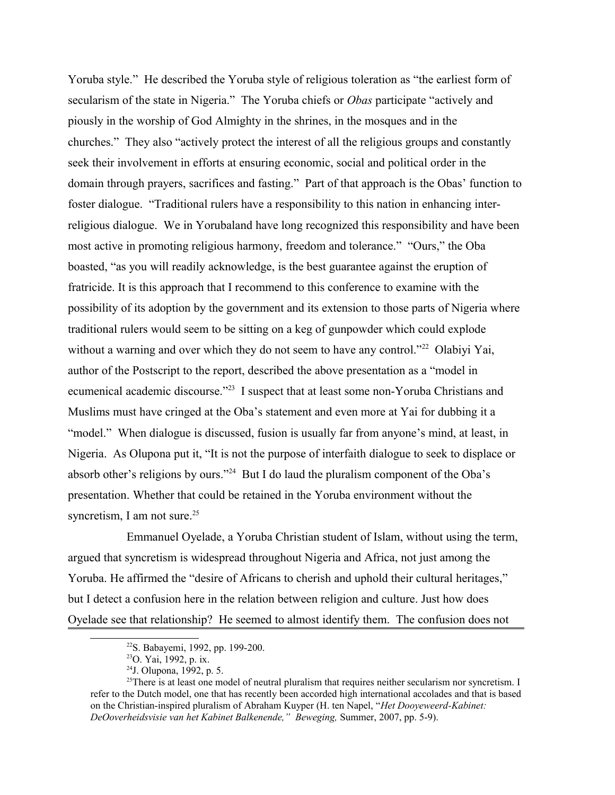Yoruba style." He described the Yoruba style of religious toleration as "the earliest form of secularism of the state in Nigeria." The Yoruba chiefs or *Obas* participate "actively and piously in the worship of God Almighty in the shrines, in the mosques and in the churches." They also "actively protect the interest of all the religious groups and constantly seek their involvement in efforts at ensuring economic, social and political order in the domain through prayers, sacrifices and fasting." Part of that approach is the Obas' function to foster dialogue. "Traditional rulers have a responsibility to this nation in enhancing interreligious dialogue. We in Yorubaland have long recognized this responsibility and have been most active in promoting religious harmony, freedom and tolerance." "Ours," the Oba boasted, "as you will readily acknowledge, is the best guarantee against the eruption of fratricide. It is this approach that I recommend to this conference to examine with the possibility of its adoption by the government and its extension to those parts of Nigeria where traditional rulers would seem to be sitting on a keg of gunpowder which could explode without a warning and over which they do not seem to have any control."<sup>[22](#page-13-0)</sup> Olabiyi Yai, author of the Postscript to the report, described the above presentation as a "model in ecumenical academic discourse."[23](#page-13-1) I suspect that at least some non-Yoruba Christians and Muslims must have cringed at the Oba's statement and even more at Yai for dubbing it a "model." When dialogue is discussed, fusion is usually far from anyone's mind, at least, in Nigeria. As Olupona put it, "It is not the purpose of interfaith dialogue to seek to displace or absorb other's religions by ours."<sup>[24](#page-13-2)</sup> But I do laud the pluralism component of the Oba's presentation. Whether that could be retained in the Yoruba environment without the syncretism, I am not sure.<sup>[25](#page-13-3)</sup>

Emmanuel Oyelade, a Yoruba Christian student of Islam, without using the term, argued that syncretism is widespread throughout Nigeria and Africa, not just among the Yoruba. He affirmed the "desire of Africans to cherish and uphold their cultural heritages," but I detect a confusion here in the relation between religion and culture. Just how does Oyelade see that relationship? He seemed to almost identify them. The confusion does not

<span id="page-13-0"></span><sup>22</sup>S. Babayemi, 1992, pp. 199-200.

<span id="page-13-1"></span><sup>23</sup>O. Yai, 1992, p. ix.

<span id="page-13-3"></span><span id="page-13-2"></span><sup>24</sup>J. Olupona, 1992, p. 5.

 $25$ There is at least one model of neutral pluralism that requires neither secularism nor syncretism. I refer to the Dutch model, one that has recently been accorded high international accolades and that is based on the Christian-inspired pluralism of Abraham Kuyper (H. ten Napel, "*Het Dooyeweerd-Kabinet: DeOoverheidsvisie van het Kabinet Balkenende," Beweging,* Summer, 2007, pp. 5-9).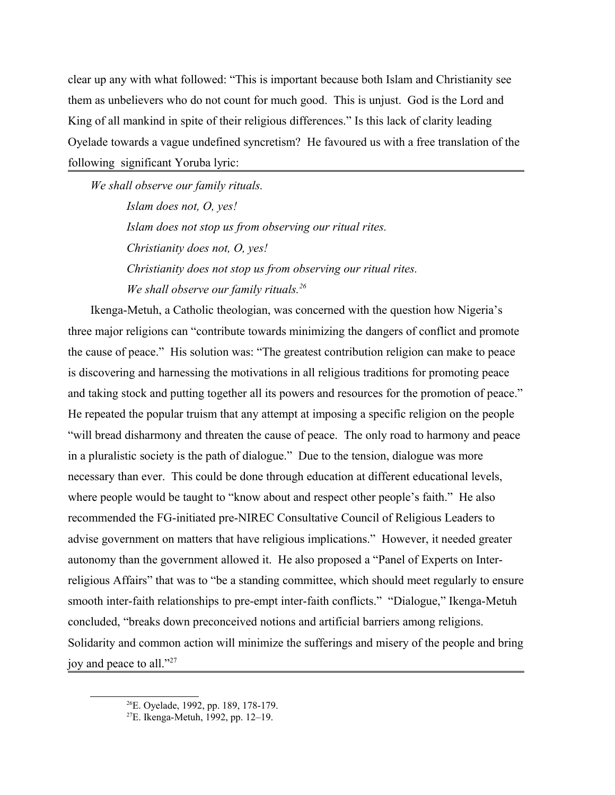clear up any with what followed: "This is important because both Islam and Christianity see them as unbelievers who do not count for much good. This is unjust. God is the Lord and King of all mankind in spite of their religious differences." Is this lack of clarity leading Oyelade towards a vague undefined syncretism? He favoured us with a free translation of the following significant Yoruba lyric:

*We shall observe our family rituals. Islam does not, O, yes! Islam does not stop us from observing our ritual rites. Christianity does not, O, yes! Christianity does not stop us from observing our ritual rites. We shall observe our family rituals.[26](#page-14-0)*

Ikenga-Metuh, a Catholic theologian, was concerned with the question how Nigeria's three major religions can "contribute towards minimizing the dangers of conflict and promote the cause of peace." His solution was: "The greatest contribution religion can make to peace is discovering and harnessing the motivations in all religious traditions for promoting peace and taking stock and putting together all its powers and resources for the promotion of peace." He repeated the popular truism that any attempt at imposing a specific religion on the people "will bread disharmony and threaten the cause of peace. The only road to harmony and peace in a pluralistic society is the path of dialogue." Due to the tension, dialogue was more necessary than ever. This could be done through education at different educational levels, where people would be taught to "know about and respect other people's faith." He also recommended the FG-initiated pre-NIREC Consultative Council of Religious Leaders to advise government on matters that have religious implications." However, it needed greater autonomy than the government allowed it. He also proposed a "Panel of Experts on Interreligious Affairs" that was to "be a standing committee, which should meet regularly to ensure smooth inter-faith relationships to pre-empt inter-faith conflicts." "Dialogue," Ikenga-Metuh concluded, "breaks down preconceived notions and artificial barriers among religions. Solidarity and common action will minimize the sufferings and misery of the people and bring joy and peace to all."<sup>[27](#page-14-1)</sup>

<span id="page-14-0"></span><sup>26</sup>E. Oyelade, 1992, pp. 189, 178-179.

<span id="page-14-1"></span><sup>27</sup>E. Ikenga-Metuh, 1992, pp. 12–19.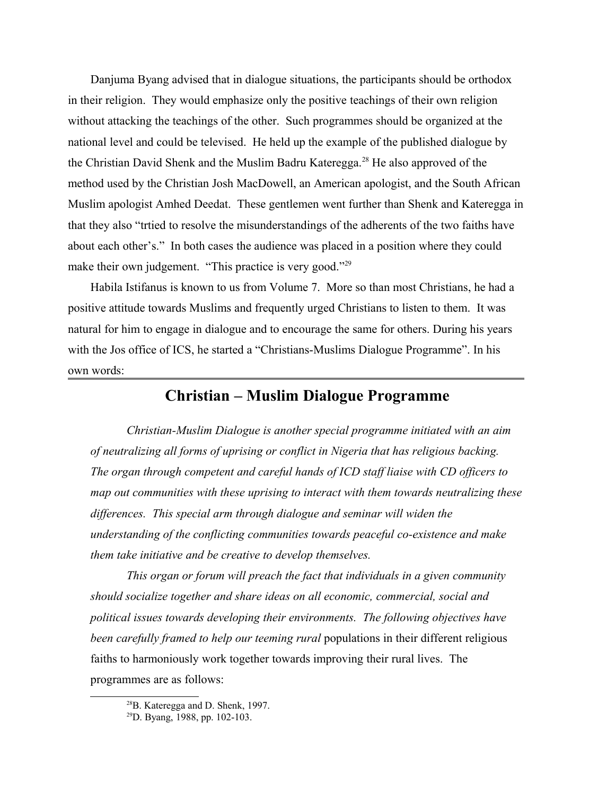Danjuma Byang advised that in dialogue situations, the participants should be orthodox in their religion. They would emphasize only the positive teachings of their own religion without attacking the teachings of the other. Such programmes should be organized at the national level and could be televised. He held up the example of the published dialogue by the Christian David Shenk and the Muslim Badru Kateregga.<sup>[28](#page-15-0)</sup> He also approved of the method used by the Christian Josh MacDowell, an American apologist, and the South African Muslim apologist Amhed Deedat. These gentlemen went further than Shenk and Kateregga in that they also "trtied to resolve the misunderstandings of the adherents of the two faiths have about each other's." In both cases the audience was placed in a position where they could make their own judgement. "This practice is very good."<sup>[29](#page-15-1)</sup>

Habila Istifanus is known to us from Volume 7. More so than most Christians, he had a positive attitude towards Muslims and frequently urged Christians to listen to them. It was natural for him to engage in dialogue and to encourage the same for others. During his years with the Jos office of ICS, he started a "Christians-Muslims Dialogue Programme". In his own words:

# **Christian – Muslim Dialogue Programme**

*Christian-Muslim Dialogue is another special programme initiated with an aim of neutralizing all forms of uprising or conflict in Nigeria that has religious backing. The organ through competent and careful hands of ICD staff liaise with CD officers to map out communities with these uprising to interact with them towards neutralizing these differences. This special arm through dialogue and seminar will widen the understanding of the conflicting communities towards peaceful co-existence and make them take initiative and be creative to develop themselves.*

*This organ or forum will preach the fact that individuals in a given community should socialize together and share ideas on all economic, commercial, social and political issues towards developing their environments. The following objectives have been carefully framed to help our teeming rural* populations in their different religious faiths to harmoniously work together towards improving their rural lives. The programmes are as follows:

<span id="page-15-0"></span><sup>&</sup>lt;sup>28</sup>B. Kateregga and D. Shenk, 1997.

<span id="page-15-1"></span><sup>29</sup>D. Byang, 1988, pp. 102-103.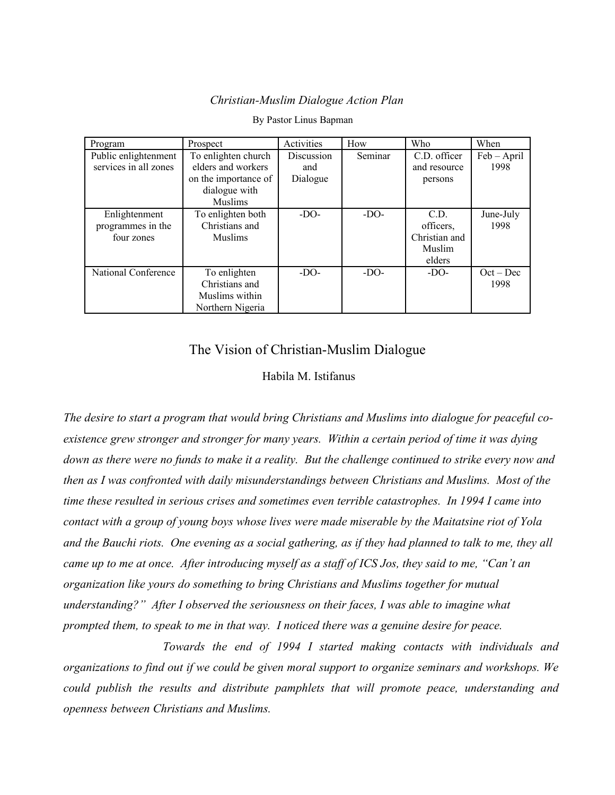## *Christian-Muslim Dialogue Action Plan*

| Program               | Prospect             | Activities | How     | Who           | When          |
|-----------------------|----------------------|------------|---------|---------------|---------------|
| Public enlightenment  | To enlighten church  | Discussion | Seminar | C.D. officer  | $Feb - April$ |
| services in all zones | elders and workers   | and        |         | and resource  | 1998          |
|                       | on the importance of | Dialogue   |         | persons       |               |
|                       | dialogue with        |            |         |               |               |
|                       | <b>Muslims</b>       |            |         |               |               |
| Enlightenment         | To enlighten both    | $-DO-$     | $-DO-$  | C.D.          | June-July     |
| programmes in the     | Christians and       |            |         | officers.     | 1998          |
| four zones            | <b>Muslims</b>       |            |         | Christian and |               |
|                       |                      |            |         | Muslim        |               |
|                       |                      |            |         | elders        |               |
| National Conference   | To enlighten         | $-DO-$     | $-DO-$  | $-DO-$        | $Oct - Dec$   |
|                       | Christians and       |            |         |               | 1998          |
|                       | Muslims within       |            |         |               |               |
|                       | Northern Nigeria     |            |         |               |               |

By Pastor Linus Bapman

# The Vision of Christian-Muslim Dialogue

# Habila M. Istifanus

*The desire to start a program that would bring Christians and Muslims into dialogue for peaceful coexistence grew stronger and stronger for many years. Within a certain period of time it was dying down as there were no funds to make it a reality. But the challenge continued to strike every now and then as I was confronted with daily misunderstandings between Christians and Muslims. Most of the time these resulted in serious crises and sometimes even terrible catastrophes. In 1994 I came into contact with a group of young boys whose lives were made miserable by the Maitatsine riot of Yola and the Bauchi riots. One evening as a social gathering, as if they had planned to talk to me, they all came up to me at once. After introducing myself as a staff of ICS Jos, they said to me, "Can't an organization like yours do something to bring Christians and Muslims together for mutual understanding?" After I observed the seriousness on their faces, I was able to imagine what prompted them, to speak to me in that way. I noticed there was a genuine desire for peace.*

*Towards the end of 1994 I started making contacts with individuals and organizations to find out if we could be given moral support to organize seminars and workshops. We could publish the results and distribute pamphlets that will promote peace, understanding and openness between Christians and Muslims.*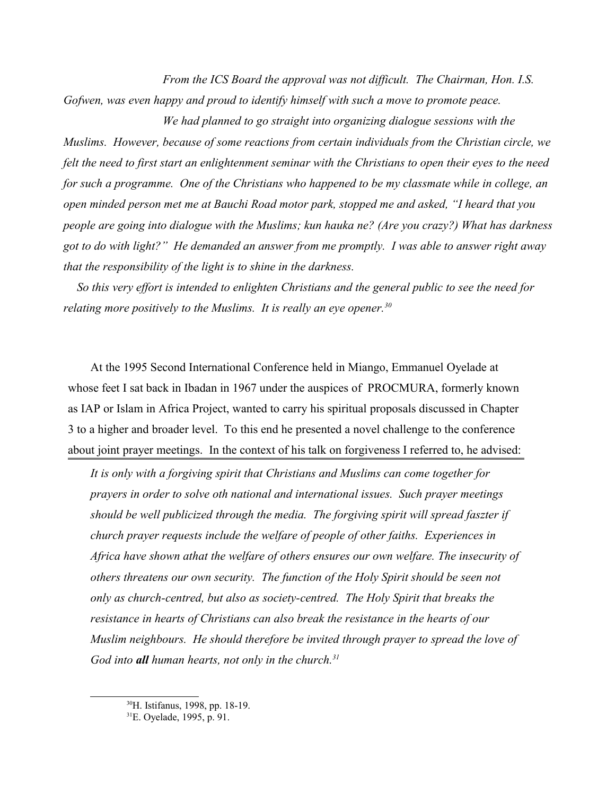*From the ICS Board the approval was not difficult. The Chairman, Hon. I.S. Gofwen, was even happy and proud to identify himself with such a move to promote peace.*

*We had planned to go straight into organizing dialogue sessions with the Muslims. However, because of some reactions from certain individuals from the Christian circle, we felt the need to first start an enlightenment seminar with the Christians to open their eyes to the need for such a programme. One of the Christians who happened to be my classmate while in college, an open minded person met me at Bauchi Road motor park, stopped me and asked, "I heard that you people are going into dialogue with the Muslims; kun hauka ne? (Are you crazy?) What has darkness got to do with light?" He demanded an answer from me promptly. I was able to answer right away that the responsibility of the light is to shine in the darkness.*

*So this very effort is intended to enlighten Christians and the general public to see the need for relating more positively to the Muslims. It is really an eye opener.[30](#page-17-0)*

At the 1995 Second International Conference held in Miango, Emmanuel Oyelade at whose feet I sat back in Ibadan in 1967 under the auspices of PROCMURA, formerly known as IAP or Islam in Africa Project, wanted to carry his spiritual proposals discussed in Chapter 3 to a higher and broader level. To this end he presented a novel challenge to the conference about joint prayer meetings. In the context of his talk on forgiveness I referred to, he advised:

*It is only with a forgiving spirit that Christians and Muslims can come together for prayers in order to solve oth national and international issues. Such prayer meetings should be well publicized through the media. The forgiving spirit will spread faszter if church prayer requests include the welfare of people of other faiths. Experiences in Africa have shown athat the welfare of others ensures our own welfare. The insecurity of others threatens our own security. The function of the Holy Spirit should be seen not only as church-centred, but also as society-centred. The Holy Spirit that breaks the resistance in hearts of Christians can also break the resistance in the hearts of our Muslim neighbours. He should therefore be invited through prayer to spread the love of God into all human hearts, not only in the church.[31](#page-17-1)*

<span id="page-17-0"></span><sup>30</sup>H. Istifanus, 1998, pp. 18-19.

<span id="page-17-1"></span><sup>31</sup>E. Oyelade, 1995, p. 91.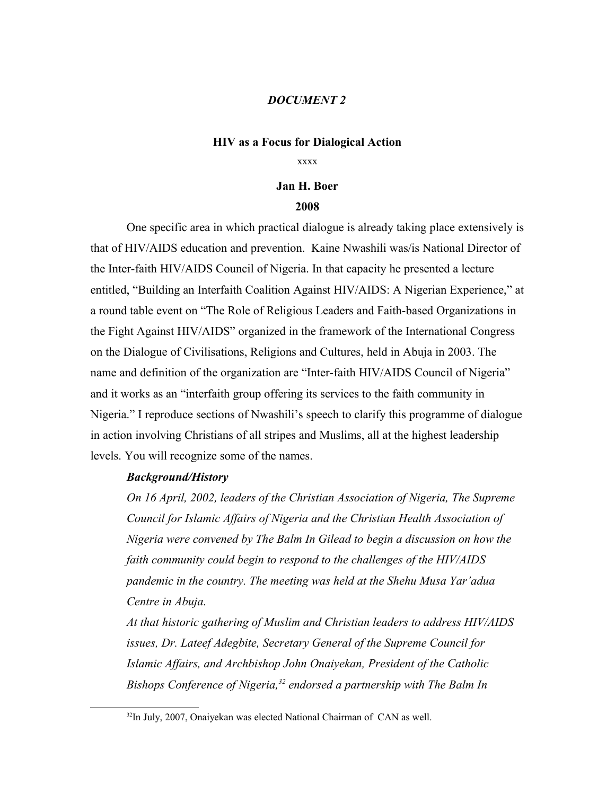## *DOCUMENT 2*

#### **HIV as a Focus for Dialogical Action**

xxxx

#### **Jan H. Boer**

#### **2008**

One specific area in which practical dialogue is already taking place extensively is that of HIV/AIDS education and prevention. Kaine Nwashili was/is National Director of the Inter-faith HIV/AIDS Council of Nigeria. In that capacity he presented a lecture entitled, "Building an Interfaith Coalition Against HIV/AIDS: A Nigerian Experience," at a round table event on "The Role of Religious Leaders and Faith-based Organizations in the Fight Against HIV/AIDS" organized in the framework of the International Congress on the Dialogue of Civilisations, Religions and Cultures, held in Abuja in 2003. The name and definition of the organization are "Inter-faith HIV/AIDS Council of Nigeria" and it works as an "interfaith group offering its services to the faith community in Nigeria." I reproduce sections of Nwashili's speech to clarify this programme of dialogue in action involving Christians of all stripes and Muslims, all at the highest leadership levels. You will recognize some of the names.

# *Background/History*

*On 16 April, 2002, leaders of the Christian Association of Nigeria, The Supreme Council for Islamic Affairs of Nigeria and the Christian Health Association of Nigeria were convened by The Balm In Gilead to begin a discussion on how the faith community could begin to respond to the challenges of the HIV/AIDS pandemic in the country. The meeting was held at the Shehu Musa Yar'adua Centre in Abuja.*

*At that historic gathering of Muslim and Christian leaders to address HIV/AIDS issues, Dr. Lateef Adegbite, Secretary General of the Supreme Council for Islamic Affairs, and Archbishop John Onaiyekan, President of the Catholic Bishops Conference of Nigeria,[32](#page-18-0) endorsed a partnership with The Balm In* 

<span id="page-18-0"></span><sup>&</sup>lt;sup>32</sup>In July, 2007, Onaiyekan was elected National Chairman of CAN as well.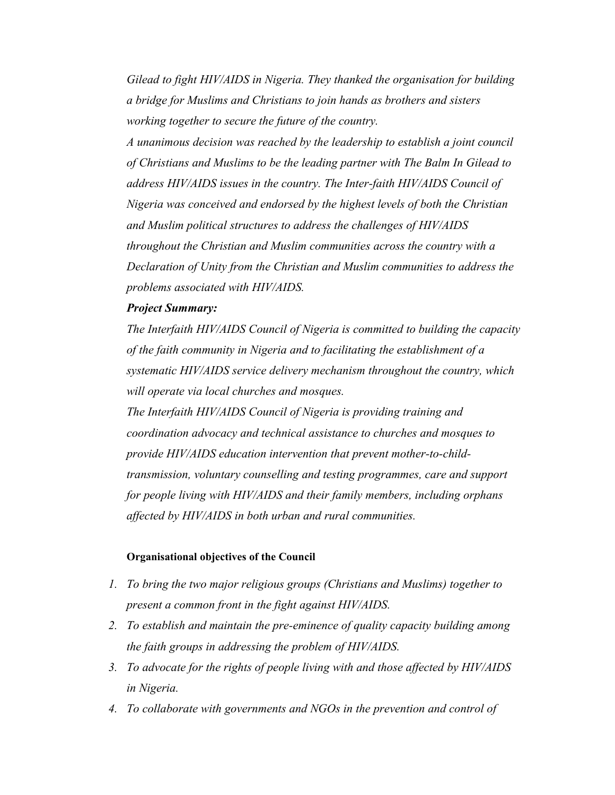*Gilead to fight HIV/AIDS in Nigeria. They thanked the organisation for building a bridge for Muslims and Christians to join hands as brothers and sisters working together to secure the future of the country.*

*A unanimous decision was reached by the leadership to establish a joint council of Christians and Muslims to be the leading partner with The Balm In Gilead to address HIV/AIDS issues in the country. The Inter-faith HIV/AIDS Council of Nigeria was conceived and endorsed by the highest levels of both the Christian and Muslim political structures to address the challenges of HIV/AIDS throughout the Christian and Muslim communities across the country with a Declaration of Unity from the Christian and Muslim communities to address the problems associated with HIV/AIDS.*

# *Project Summary:*

*The Interfaith HIV/AIDS Council of Nigeria is committed to building the capacity of the faith community in Nigeria and to facilitating the establishment of a systematic HIV/AIDS service delivery mechanism throughout the country, which will operate via local churches and mosques.*

*The Interfaith HIV/AIDS Council of Nigeria is providing training and coordination advocacy and technical assistance to churches and mosques to provide HIV/AIDS education intervention that prevent mother-to-childtransmission, voluntary counselling and testing programmes, care and support for people living with HIV/AIDS and their family members, including orphans affected by HIV/AIDS in both urban and rural communities.*

#### **Organisational objectives of the Council**

- *1. To bring the two major religious groups (Christians and Muslims) together to present a common front in the fight against HIV/AIDS.*
- *2. To establish and maintain the pre-eminence of quality capacity building among the faith groups in addressing the problem of HIV/AIDS.*
- *3. To advocate for the rights of people living with and those affected by HIV/AIDS in Nigeria.*
- *4. To collaborate with governments and NGOs in the prevention and control of*